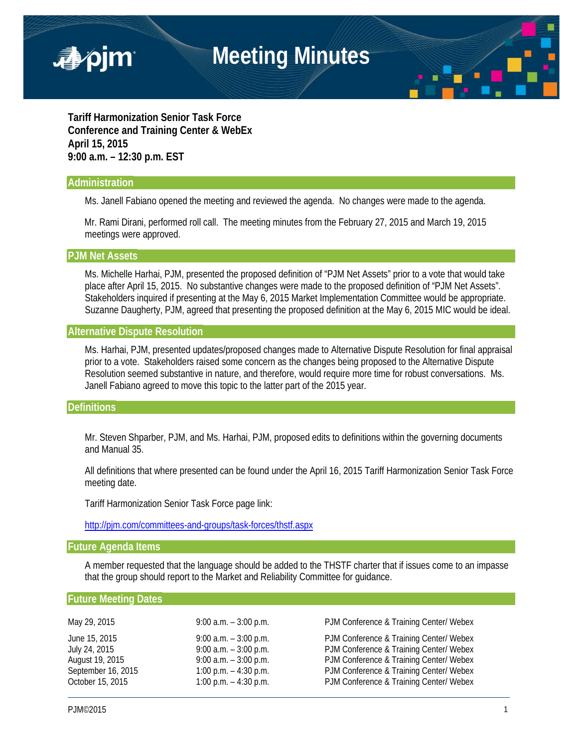

**Tariff Harmonization Senior Task Force Conference and Training Center & WebEx April 15, 2015 9:00 a.m. – 12:30 p.m. EST**

## **Administration**

Ms. Janell Fabiano opened the meeting and reviewed the agenda. No changes were made to the agenda.

 Mr. Rami Dirani, performed roll call. The meeting minutes from the February 27, 2015 and March 19, 2015 meetings were approved.

### **PJM Net Assets**

Ms. Michelle Harhai, PJM, presented the proposed definition of "PJM Net Assets" prior to a vote that would take place after April 15, 2015. No substantive changes were made to the proposed definition of "PJM Net Assets". Stakeholders inquired if presenting at the May 6, 2015 Market Implementation Committee would be appropriate. Suzanne Daugherty, PJM, agreed that presenting the proposed definition at the May 6, 2015 MIC would be ideal.

# **Alternative Dispute Resolution**

Ms. Harhai, PJM, presented updates/proposed changes made to Alternative Dispute Resolution for final appraisal prior to a vote. Stakeholders raised some concern as the changes being proposed to the Alternative Dispute Resolution seemed substantive in nature, and therefore, would require more time for robust conversations. Ms. Janell Fabiano agreed to move this topic to the latter part of the 2015 year.

# **Definitions**

Mr. Steven Shparber, PJM, and Ms. Harhai, PJM, proposed edits to definitions within the governing documents and Manual 35.

All definitions that where presented can be found under the April 16, 2015 Tariff Harmonization Senior Task Force meeting date.

Tariff Harmonization Senior Task Force page link:

<http://pjm.com/committees-and-groups/task-forces/thstf.aspx>

## **Future Agenda Items**

A member requested that the language should be added to the THSTF charter that if issues come to an impasse that the group should report to the Market and Reliability Committee for guidance.

#### **Future Meeting Dates**

| May 29, 2015       | 9:00 a.m. $-3:00$ p.m.  | PJM Conference & Training Center/ Webex |
|--------------------|-------------------------|-----------------------------------------|
| June 15, 2015      | 9:00 a.m. $-3:00$ p.m.  | PJM Conference & Training Center/ Webex |
| July 24, 2015      | 9:00 a.m. $-3:00$ p.m.  | PJM Conference & Training Center/ Webex |
| August 19, 2015    | 9:00 a.m. $-3:00$ p.m.  | PJM Conference & Training Center/ Webex |
| September 16, 2015 | 1:00 p.m. $-$ 4:30 p.m. | PJM Conference & Training Center/ Webex |
| October 15, 2015   | 1:00 p.m. $-$ 4:30 p.m. | PJM Conference & Training Center/ Webex |